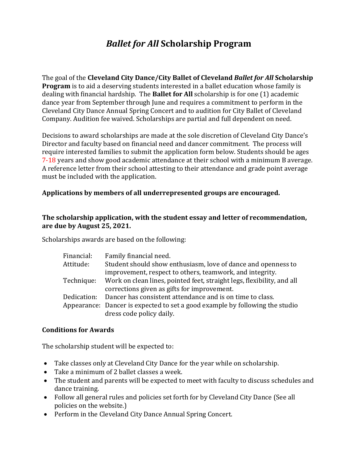# *Ballet for All* **Scholarship Program**

The goal of the **Cleveland City Dance/City Ballet of Cleveland** *Ballet for All* **Scholarship Program** is to aid a deserving students interested in a ballet education whose family is dealing with financial hardship. The **Ballet for All** scholarship is for one (1) academic dance year from September through June and requires a commitment to perform in the Cleveland City Dance Annual Spring Concert and to audition for City Ballet of Cleveland Company. Audition fee waived. Scholarships are partial and full dependent on need.

Decisions to award scholarships are made at the sole discretion of Cleveland City Dance's Director and faculty based on financial need and dancer commitment. The process will require interested families to submit the application form below. Students should be ages 7-18 years and show good academic attendance at their school with a minimum B average. A reference letter from their school attesting to their attendance and grade point average must be included with the application.

# **Applications by members of all underrepresented groups are encouraged.**

# **The scholarship application, with the student essay and letter of recommendation, are due by August 25, 2021.**

Scholarships awards are based on the following:

| Financial:  | Family financial need.                                                       |
|-------------|------------------------------------------------------------------------------|
| Attitude:   | Student should show enthusiasm, love of dance and openness to                |
|             | improvement, respect to others, teamwork, and integrity.                     |
| Technique:  | Work on clean lines, pointed feet, straight legs, flexibility, and all       |
|             | corrections given as gifts for improvement.                                  |
| Dedication: | Dancer has consistent attendance and is on time to class.                    |
|             | Appearance: Dancer is expected to set a good example by following the studio |
|             | dress code policy daily.                                                     |

#### **Conditions for Awards**

The scholarship student will be expected to:

- Take classes only at Cleveland City Dance for the year while on scholarship.
- Take a minimum of 2 ballet classes a week.
- The student and parents will be expected to meet with faculty to discuss schedules and dance training.
- Follow all general rules and policies set forth for by Cleveland City Dance (See all policies on the website.)
- Perform in the Cleveland City Dance Annual Spring Concert.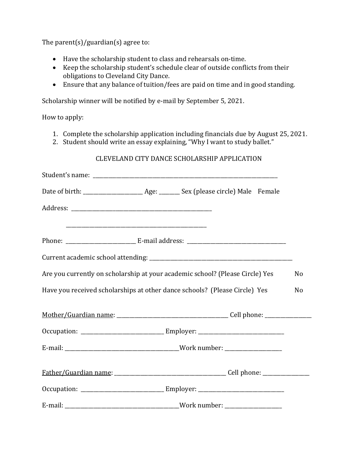The parent(s)/guardian(s) agree to:

- Have the scholarship student to class and rehearsals on-time.
- Keep the scholarship student's schedule clear of outside conflicts from their obligations to Cleveland City Dance.
- Ensure that any balance of tuition/fees are paid on time and in good standing.

Scholarship winner will be notified by e-mail by September 5, 2021.

How to apply:

- 1. Complete the scholarship application including financials due by August 25, 2021.
- 2. Student should write an essay explaining, "Why I want to study ballet."

# CLEVELAND CITY DANCE SCHOLARSHIP APPLICATION

|  | Are you currently on scholarship at your academic school? (Please Circle) Yes | No             |  |
|--|-------------------------------------------------------------------------------|----------------|--|
|  | Have you received scholarships at other dance schools? (Please Circle) Yes    | N <sub>o</sub> |  |
|  |                                                                               |                |  |
|  |                                                                               |                |  |
|  |                                                                               |                |  |
|  |                                                                               |                |  |
|  |                                                                               |                |  |
|  |                                                                               |                |  |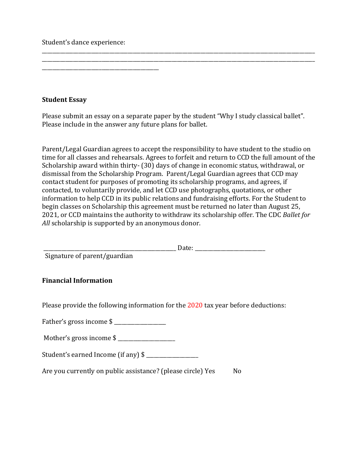Student's dance experience:

\_\_\_\_\_\_\_\_\_\_\_\_\_\_\_\_\_\_\_\_\_\_\_\_\_\_\_\_\_\_\_\_\_\_\_\_\_\_\_\_\_\_\_\_\_

# **Student Essay**

Please submit an essay on a separate paper by the student "Why I study classical ballet". Please include in the answer any future plans for ballet.

\_\_\_\_\_\_\_\_\_\_\_\_\_\_\_\_\_\_\_\_\_\_\_\_\_\_\_\_\_\_\_\_\_\_\_\_\_\_\_\_\_\_\_\_\_\_\_\_\_\_\_\_\_\_\_\_\_\_\_\_\_\_\_\_\_\_\_\_\_\_\_\_\_\_\_\_\_\_\_\_\_\_\_\_\_\_\_\_\_\_\_\_\_\_\_\_\_\_\_\_\_\_\_\_\_ \_\_\_\_\_\_\_\_\_\_\_\_\_\_\_\_\_\_\_\_\_\_\_\_\_\_\_\_\_\_\_\_\_\_\_\_\_\_\_\_\_\_\_\_\_\_\_\_\_\_\_\_\_\_\_\_\_\_\_\_\_\_\_\_\_\_\_\_\_\_\_\_\_\_\_\_\_\_\_\_\_\_\_\_\_\_\_\_\_\_\_\_\_\_\_\_\_\_\_\_\_\_\_\_\_

Parent/Legal Guardian agrees to accept the responsibility to have student to the studio on time for all classes and rehearsals. Agrees to forfeit and return to CCD the full amount of the Scholarship award within thirty- (30) days of change in economic status, withdrawal, or dismissal from the Scholarship Program. Parent/Legal Guardian agrees that CCD may contact student for purposes of promoting its scholarship programs, and agrees, if contacted, to voluntarily provide, and let CCD use photographs, quotations, or other information to help CCD in its public relations and fundraising efforts. For the Student to begin classes on Scholarship this agreement must be returned no later than August 25, 2021, or CCD maintains the authority to withdraw its scholarship offer. The CDC *Ballet for All* scholarship is supported by an anonymous donor.

| Date: $\frac{1}{1}$                                                               |
|-----------------------------------------------------------------------------------|
| Signature of parent/guardian                                                      |
|                                                                                   |
| <b>Financial Information</b>                                                      |
|                                                                                   |
| Please provide the following information for the 2020 tax year before deductions: |
| Father's gross income \$                                                          |
| Mother's gross income $\frac{1}{2}$                                               |
| Student's earned Income (if any) \$                                               |
| Are you currently on public assistance? (please circle) Yes<br>N <sub>0</sub>     |